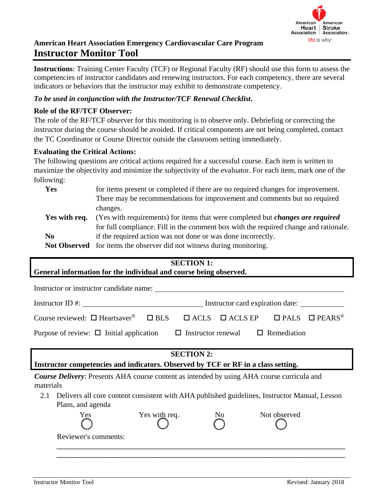

**Instructions**: Training Center Faculty (TCF) or Regional Faculty (RF) should use this form to assess the competencies of instructor candidates and renewing instructors. For each competency, there are several indicators or behaviors that the instructor may exhibit to demonstrate competency.

### *To be used in conjunction with the Instructor/TCF Renewal Checklist***.**

### **Role of the RF/TCF Observer:**

The role of the RF/TCF observer for this monitoring is to observe only. Debriefing or correcting the instructor during the course should be avoided. If critical components are not being completed, contact the TC Coordinator or Course Director outside the classroom setting immediately.

### **Evaluating the Critical Actions:**

The following questions are critical actions required for a successful course. Each item is written to maximize the objectivity and minimize the subjectivity of the evaluator. For each item, mark one of the following:

| Yes           | for items present or completed if there are no required changes for improvement.      |
|---------------|---------------------------------------------------------------------------------------|
|               | There may be recommendations for improvement and comments but no required             |
|               | changes.                                                                              |
| Yes with req. | (Yes with requirements) for items that were completed but <i>changes are required</i> |
|               | for full compliance. Fill in the comment box with the required change and rationale.  |
| $\bf No$      | if the required action was not done or was done incorrectly.                          |
|               | Not Observed for items the observer did not witness during monitoring.                |

## **SECTION 1:**

**General information for the individual and course being observed.**

| Instructor or instructor candidate name:                                                                                                      |  |                                  |  |
|-----------------------------------------------------------------------------------------------------------------------------------------------|--|----------------------------------|--|
| $Instructor ID \#:\_$                                                                                                                         |  | Instructor card expiration date: |  |
| Course reviewed: $\square$ Heartsaver <sup>®</sup> $\square$ BLS $\square$ ACLS $\square$ ACLS EP $\square$ PALS $\square$ PEARS <sup>®</sup> |  |                                  |  |
| Purpose of review: $\Box$ Initial application $\Box$ Instructor renewal $\Box$ Remediation                                                    |  |                                  |  |

### **SECTION 2:**

**Instructor competencies and indicators. Observed by TCF or RF in a class setting.**

*Course Delivery*: Presents AHA course content as intended by using AHA course curricula and materials

2.1 Delivers all core content consistent with AHA published guidelines, Instructor Manual, Lesson Plans, and agenda

| Yes                  | Yes with req. | NO | Not observed |  |
|----------------------|---------------|----|--------------|--|
| Reviewer's comments: |               |    |              |  |
|                      |               |    |              |  |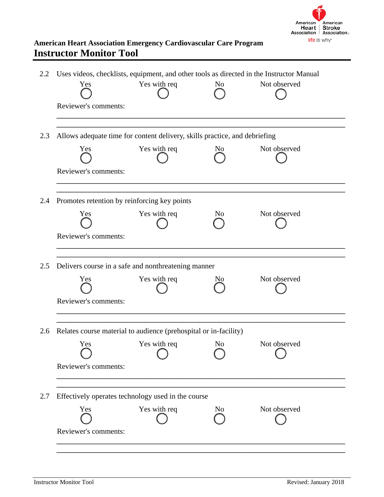

| Yes                  | Yes with req                                                               | N <sub>0</sub> | Not observed |
|----------------------|----------------------------------------------------------------------------|----------------|--------------|
| Reviewer's comments: |                                                                            |                |              |
|                      | Allows adequate time for content delivery, skills practice, and debriefing |                |              |
| Yes                  | Yes with req                                                               | N <sub>0</sub> | Not observed |
| Reviewer's comments: |                                                                            |                |              |
|                      | Promotes retention by reinforcing key points                               |                |              |
| Yes                  | Yes with req                                                               | N <sub>0</sub> | Not observed |
| Reviewer's comments: |                                                                            |                |              |
|                      | Delivers course in a safe and nonthreatening manner                        |                |              |
| Yes                  | Yes with req                                                               | Nο             | Not observed |
| Reviewer's comments: |                                                                            |                |              |
|                      | Relates course material to audience (prehospital or in-facility)           |                |              |
| Yes                  | Yes with req                                                               | N <sub>o</sub> | Not observed |
| Reviewer's comments: |                                                                            |                |              |
|                      |                                                                            |                |              |
|                      | Effectively operates technology used in the course                         |                |              |
| Yes                  | Yes with req                                                               | N <sub>0</sub> | Not observed |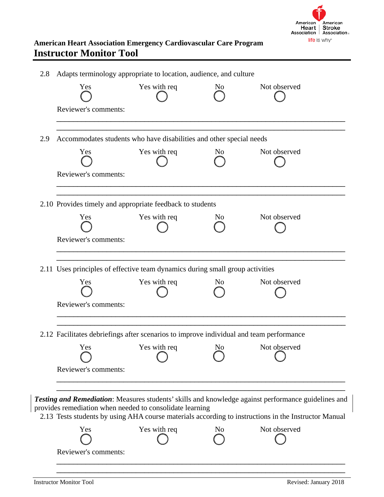

| 2.8 | Adapts terminology appropriate to location, audience, and culture                       |                                  |                |                                                                                                                                                                                                             |
|-----|-----------------------------------------------------------------------------------------|----------------------------------|----------------|-------------------------------------------------------------------------------------------------------------------------------------------------------------------------------------------------------------|
|     | Yes                                                                                     | Yes with req                     | No             | Not observed                                                                                                                                                                                                |
|     | Reviewer's comments:                                                                    |                                  |                |                                                                                                                                                                                                             |
| 2.9 | Accommodates students who have disabilities and other special needs                     |                                  |                |                                                                                                                                                                                                             |
|     | Yes                                                                                     | Yes with req                     | N <sub>0</sub> | Not observed                                                                                                                                                                                                |
|     | Reviewer's comments:                                                                    |                                  |                |                                                                                                                                                                                                             |
|     | 2.10 Provides timely and appropriate feedback to students                               |                                  |                |                                                                                                                                                                                                             |
|     | Yes                                                                                     | Yes with req                     | No.            | Not observed                                                                                                                                                                                                |
|     | Reviewer's comments:                                                                    |                                  |                |                                                                                                                                                                                                             |
|     | 2.11 Uses principles of effective team dynamics during small group activities           |                                  |                |                                                                                                                                                                                                             |
|     | Yes                                                                                     | Yes with req                     | N <sub>0</sub> | Not observed                                                                                                                                                                                                |
|     | Reviewer's comments:                                                                    |                                  |                |                                                                                                                                                                                                             |
|     | 2.12 Facilitates debriefings after scenarios to improve individual and team performance |                                  |                |                                                                                                                                                                                                             |
|     |                                                                                         | Yes Yes with req No Not observed |                |                                                                                                                                                                                                             |
|     | Reviewer's comments:                                                                    |                                  |                |                                                                                                                                                                                                             |
|     | provides remediation when needed to consolidate learning                                |                                  |                | Testing and Remediation: Measures students' skills and knowledge against performance guidelines and<br>2.13 Tests students by using AHA course materials according to instructions in the Instructor Manual |
|     | Yes                                                                                     | Yes with req                     | No             | Not observed                                                                                                                                                                                                |
|     |                                                                                         |                                  |                |                                                                                                                                                                                                             |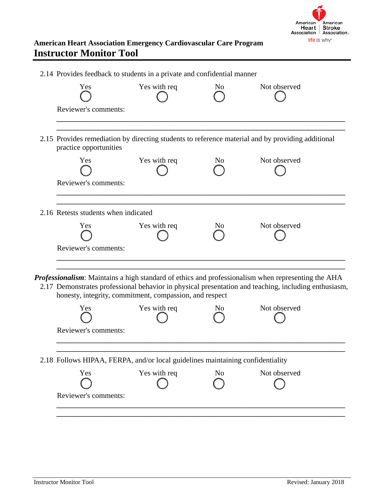

| 2.14 Provides feedback to students in a private and confidential manner        |              |                |                                                                                                                                                                                                            |  |
|--------------------------------------------------------------------------------|--------------|----------------|------------------------------------------------------------------------------------------------------------------------------------------------------------------------------------------------------------|--|
| Yes                                                                            | Yes with req | N <sub>0</sub> | Not observed                                                                                                                                                                                               |  |
| Reviewer's comments:                                                           |              |                |                                                                                                                                                                                                            |  |
| practice opportunities                                                         |              |                | 2.15 Provides remediation by directing students to reference material and by providing additional                                                                                                          |  |
| Yes                                                                            | Yes with req | N <sub>0</sub> | Not observed                                                                                                                                                                                               |  |
| Reviewer's comments:                                                           |              |                |                                                                                                                                                                                                            |  |
| 2.16 Retests students when indicated                                           |              |                |                                                                                                                                                                                                            |  |
| Yes                                                                            | Yes with req | N <sub>0</sub> | Not observed                                                                                                                                                                                               |  |
| Reviewer's comments:                                                           |              |                |                                                                                                                                                                                                            |  |
| honesty, integrity, commitment, compassion, and respect                        |              |                | Professionalism: Maintains a high standard of ethics and professionalism when representing the AHA<br>2.17 Demonstrates professional behavior in physical presentation and teaching, including enthusiasm, |  |
| Yes                                                                            | Yes with req | No.            | Not observed                                                                                                                                                                                               |  |
| Reviewer's comments:                                                           |              |                |                                                                                                                                                                                                            |  |
| 2.18 Follows HIPAA, FERPA, and/or local guidelines maintaining confidentiality |              |                |                                                                                                                                                                                                            |  |
| Yes                                                                            | Yes with req | No             | Not observed                                                                                                                                                                                               |  |
| Reviewer's comments:                                                           |              |                |                                                                                                                                                                                                            |  |

\_\_\_\_\_\_\_\_\_\_\_\_\_\_\_\_\_\_\_\_\_\_\_\_\_\_\_\_\_\_\_\_\_\_\_\_\_\_\_\_\_\_\_\_\_\_\_\_\_\_\_\_\_\_\_\_\_\_\_\_\_\_\_\_\_\_\_\_\_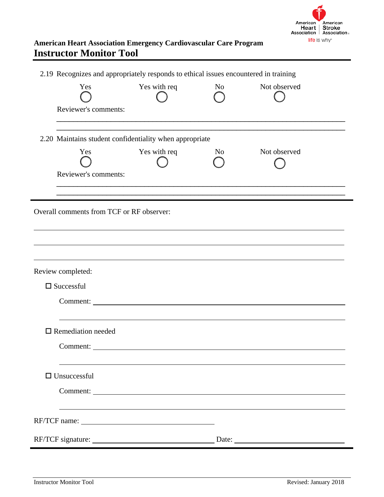

|                                           | 2.19 Recognizes and appropriately responds to ethical issues encountered in training |                |              |  |
|-------------------------------------------|--------------------------------------------------------------------------------------|----------------|--------------|--|
| Yes                                       | Yes with req                                                                         | N <sub>o</sub> | Not observed |  |
| Reviewer's comments:                      |                                                                                      |                |              |  |
|                                           | 2.20 Maintains student confidentiality when appropriate                              |                |              |  |
| Yes                                       | Yes with req                                                                         | No             | Not observed |  |
| Reviewer's comments:                      |                                                                                      |                |              |  |
| Overall comments from TCF or RF observer: |                                                                                      |                |              |  |
| Review completed:                         |                                                                                      |                |              |  |
| $\square$ Successful                      | Comment:                                                                             |                |              |  |
| $\square$ Remediation needed              |                                                                                      |                |              |  |
|                                           | Comment:                                                                             |                |              |  |
| $\Box$ Unsuccessful                       |                                                                                      |                |              |  |
|                                           | Comment:                                                                             |                |              |  |
|                                           |                                                                                      |                |              |  |
|                                           |                                                                                      |                |              |  |